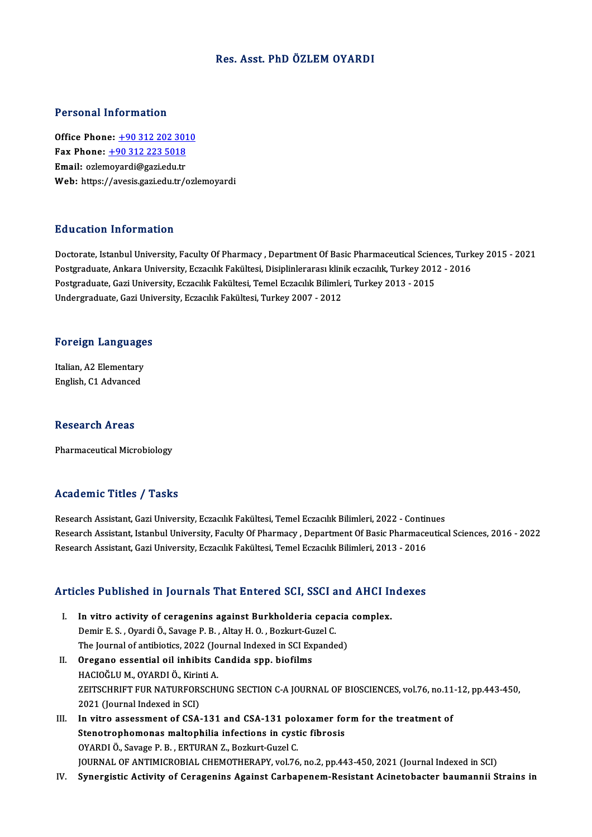#### Res. Asst. PhD ÖZLEMOYARDI

#### Personal Information

**Personal Information<br>Office Phone: +90 312 202 3010**<br>Fax Phone: +90 312 222 5019 1 0100111 11101 1111011<br>
0ffice Phone: <u>+90 312 202 301</u><br>
Fax Phone: <u>+90 312 223 5018</u> Office Phone: <u>+90 312 202 301</u><br>Fax Phone: <u>+90 312 223 5018</u><br>Email: ozle[moyardi@gazi.edu.tr](tel:+90 312 223 5018) Fax Phone: <u>+90 312 223 5018</u><br>Email: ozlemoyardi@gazi.edu.tr<br>Web: https://avesis.gazi.edu.tr/ozlemoyardi

#### Education Information

Education Information<br>Doctorate, Istanbul University, Faculty Of Pharmacy , Department Of Basic Pharmaceutical Sciences, Turkey 2015 - 2021<br>Postsraduate, Ankara University, Essaelly Fakültesi, Disiplinlerares, klipik essae Pu u curren "Infer Indrien"<br>Doctorate, Istanbul University, Faculty Of Pharmacy , Department Of Basic Pharmaceutical Sciences, Turk<br>Postgraduate, Ankara University, Eczacılık Fakültesi, Disiplinlerarası klinik eczacılık, T Doctorate, Istanbul University, Faculty Of Pharmacy , Department Of Basic Pharmaceutical Scien<br>Postgraduate, Ankara University, Eczacılık Fakültesi, Disiplinlerarası klinik eczacılık, Turkey 201<br>Postgraduate, Gazi Universi Postgraduate, Ankara University, Eczacılık Fakültesi, Disiplinlerarası klin<br>Postgraduate, Gazi University, Eczacılık Fakültesi, Temel Eczacılık Bilimle<br>Undergraduate, Gazi University, Eczacılık Fakültesi, Turkey 2007 - 201

# <sub>Undergraduate, Gazi Univ<br>Foreign Languages</sub>

**Foreign Language<br>Italian, A2 Elementary<br>English C1 Advanced** Italian, A2 Elementary<br>English, C1 Advanced

#### Research Areas

Pharmaceutical Microbiology

### Academic Titles / Tasks

Research Assistant, Gazi University, Eczacılık Fakültesi, Temel Eczacılık Bilimleri, 2022 - Continues Research Assistant, Istanbul University, Faculty Of Pharmacy, Department Of Basic Pharmaceutical Sciences, 2016 - 2022 Research Assistant, Gazi University, Eczacılık Fakültesi, Temel Eczacılık Bilimleri, 2013 - 2016

# Research Assistant, Gazi University, Eczacilik Pakuitesi, Temel Eczacilik Bilimieri, 2013 - 2016<br>Articles Published in Journals That Entered SCI, SSCI and AHCI Indexes

- rticles Published in Journals That Entered SCI, SSCI and AHCI In<br>I. In vitro activity of ceragenins against Burkholderia cepacia complex.<br>Domin E.S. Quardi Ö. Savage B.B. Altay H.O. Borlaut Curel C. I. In vitro activity of ceragenins against Burkholderia cepacia complex.<br>Demir E.S. , Oyardi Ö., Savage P.B. , Altay H.O. , Bozkurt-Guzel C. In vitro activity of ceragenins against Burkholderia cepacia<br>Demir E.S., Oyardi Ö., Savage P.B., Altay H.O., Bozkurt-Guzel C.<br>The Journal of antibiotics, 2022 (Journal Indexed in SCI Expanded)<br>Orogano assential oil inhibit Demir E. S., Oyardi Ö., Savage P. B., Altay H. O., Bozkurt-Gu<br>The Journal of antibiotics, 2022 (Journal Indexed in SCI Ex.<br>II. Oregano essential oil inhibits Candida spp. biofilms<br>HACIOČLUM, OVARDI Ö. Kirinti A.
- The Journal of antibiotics, 2022 (Jo<br>Oregano essential oil inhibits C<br>HACIOĞLU M., OYARDI Ö., Kirinti A.<br>ZEITSCHRIET EUR NATUREORSCHI Oregano essential oil inhibits Candida spp. biofilms<br>HACIOĞLU M., OYARDI Ö., Kirinti A.<br>ZEITSCHRIFT FUR NATURFORSCHUNG SECTION C-A JOURNAL OF BIOSCIENCES, vol.76, no.11-12, pp.443-450,<br>2021 (Jaurnal Indoved in SCI) HACIOĞLU M., OYARDI Ö., Kirin<br>ZEITSCHRIFT FUR NATURFOR:<br>2021 (Journal Indexed in SCI)<br>In vitre assessment of CSA ZEITSCHRIFT FUR NATURFORSCHUNG SECTION C-A JOURNAL OF BIOSCIENCES, vol.76, no.11<br>2021 (Journal Indexed in SCI)<br>III. In vitro assessment of CSA-131 and CSA-131 poloxamer form for the treatment of<br>Stengtrophomones meltophili
- 2021 (Journal Indexed in SCI)<br>In vitro assessment of CSA-131 and CSA-131 poloxamer for<br>Stenotrophomonas maltophilia infections in cystic fibrosis<br>OXAPDLÖ, Savage B.B., EPTURAN Z. Berluyt Gygal C In vitro assessment of CSA-131 and CSA-131 pol<br>Stenotrophomonas maltophilia infections in cyst<br>OYARDI Ö., Savage P. B. , ERTURAN Z., Bozkurt-Guzel C.<br>JOUPNAL OF ANTIMICROPIAL CHEMOTHERAPY vol 76 OYARDI Ö., Savage P. B. , ERTURAN Z., Bozkurt-Guzel C.<br>JOURNAL OF ANTIMICROBIAL CHEMOTHERAPY, vol.76, no.2, pp.443-450, 2021 (Journal Indexed in SCI)
- IV. Synergistic Activity of Ceragenins Against Carbapenem-Resistant Acinetobacter baumanni Strains in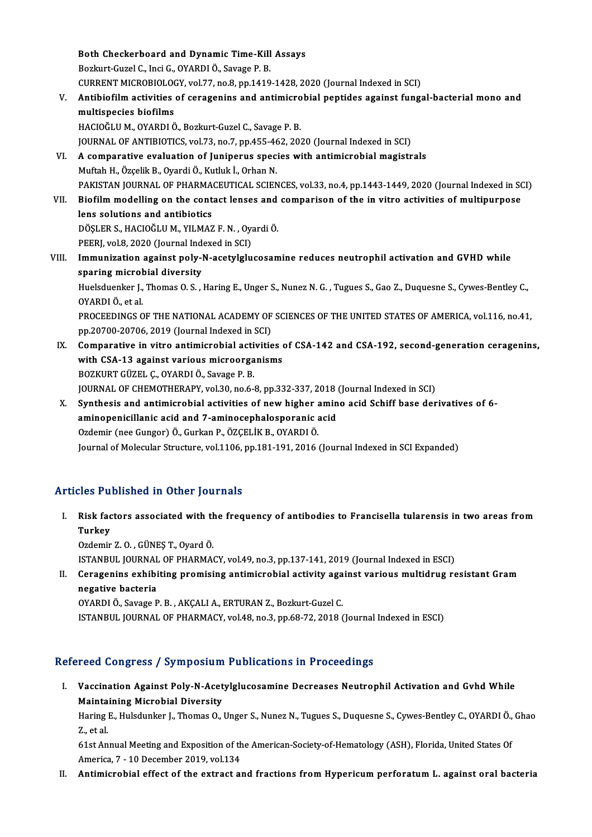Both Checkerboard and Dynamic Time-Kill Assays<br>Borluut Curel G. Insi G. OVARDIÖ, Seysge B. B Both Checkerboard and Dynamic Time-Kill<br>Bozkurt-Guzel C., Inci G., OYARDI Ö., Savage P. B.<br>CURRENT MICROBIOLOCY, vel 77, ne 8, np.1410 Both Checkerboard and Dynamic Time-Kill Assays<br>Bozkurt-Guzel C., Inci G., OYARDI Ö., Savage P. B.<br>CURRENT MICROBIOLOGY, vol.77, no.8, pp.1419-1428, 2020 (Journal Indexed in SCI)<br>Antibiofilm activities of serogoning and ant Bozkurt-Guzel C., Inci G., OYARDI Ö., Savage P. B.<br>CURRENT MICROBIOLOGY, vol.77, no.8, pp.1419-1428, 2020 (Journal Indexed in SCI)<br>V. Antibiofilm activities of ceragenins and antimicrobial peptides against fungal-bacte CURRENT MICROBIOLOO<br>Antibiofilm activities<br>multispecies biofilms<br>HACIOČLUM OVAPDIČ Antibiofilm activities of ceragenins and antimicro<br>multispecies biofilms<br>HACIOĞLU M., OYARDI Ö., Bozkurt-Guzel C., Savage P. B.<br>JOUPMAL OF ANTIBIOTICS vol 73 no 7 nn 455,462,202 multispecies biofilms<br>HACIOĞLU M., OYARDI Ö., Bozkurt-Guzel C., Savage P. B.<br>JOURNAL OF ANTIBIOTICS, vol.73, no.7, pp.455-462, 2020 (Journal Indexed in SCI)<br>A comparative evoluation of Juniperus species with antimicrobial HACIOĞLU M., OYARDI Ö., Bozkurt-Guzel C., Savage P. B.<br>JOURNAL OF ANTIBIOTICS, vol.73, no.7, pp.455-462, 2020 (Journal Indexed in SCI)<br>VI. A comparative evaluation of Juniperus species with antimicrobial magistrals<br>Muftah JOURNAL OF ANTIBIOTICS, vol.73, no.7, pp.455-46<br>A comparative evaluation of Juniperus spec:<br>Muftah H., Özçelik B., Oyardi Ö., Kutluk İ., Orhan N.<br>PAKISTAN JOUPNAL OF PHAPMACEUTICAL SCIEN A comparative evaluation of Juniperus species with antimicrobial magistrals<br>Muftah H., Özçelik B., Oyardi Ö., Kutluk İ., Orhan N.<br>PAKISTAN JOURNAL OF PHARMACEUTICAL SCIENCES, vol.33, no.4, pp.1443-1449, 2020 (Journal Index Muftah H., Özçelik B., Oyardi Ö., Kutluk İ., Orhan N.<br>PAKISTAN JOURNAL OF PHARMACEUTICAL SCIENCES, vol.33, no.4, pp.1443-1449, 2020 (Journal Indexed in SC<br>VII. Biofilm modelling on the contact lenses and comparison of the PAKISTAN JOURNAL OF PHARMA<br>Biofilm modelling on the conti<br>lens solutions and antibiotics<br>DÖSLER S. HACIOČLUM, VILMAZ Biofilm modelling on the contact lenses and<br>lens solutions and antibiotics<br>DÖŞLER S., HACIOĞLU M., YILMAZ F.N. , Oyardi Ö.<br>PEEPL val 8,2020 (Jaurnal Indaved in SCD lens solutions and antibiotics<br>DÖŞLER S., HACIOĞLU M., YILMAZ F. N. , Oy.<br>PEERJ, vol.8, 2020 (Journal Indexed in SCI)<br>Immunisation assinst noly N asstulaly DÖŞLER S., HACIOĞLU M., YILMAZ F. N. , Oyardi Ö.<br>PEERJ, vol.8, 2020 (Journal Indexed in SCI)<br>VIII. Immunization against poly-N-acetylglucosamine reduces neutrophil activation and GVHD while<br>sparing microbial diversity PEERJ, vol.8, 2020 (Journal Inde<br>Immunization against poly-l<br>sparing microbial diversity<br>Huelsduenker L. Themes 0.8 Immunization against poly-N-acetylglucosamine reduces neutrophil activation and GVHD while<br>sparing microbial diversity<br>Huelsduenker J., Thomas O. S. , Haring E., Unger S., Nunez N. G. , Tugues S., Gao Z., Duquesne S., Cywe **sparing microl**<br>Huelsduenker J.,<br>OYARDI Ö., et al.<br>PROCEEDINCS O Huelsduenker J., Thomas O. S. , Haring E., Unger S., Nunez N. G. , Tugues S., Gao Z., Duquesne S., Cywes-Bentley C.,<br>OYARDI Ö., et al.<br>PROCEEDINGS OF THE NATIONAL ACADEMY OF SCIENCES OF THE UNITED STATES OF AMERICA, vol.11 OYARDI Ö., et al.<br>PROCEEDINGS OF THE NATIONAL ACADEMY OF<br>pp.20700-20706, 2019 (Journal Indexed in SCI)<br>Comporative in vitre antimicrabial activitie PROCEEDINGS OF THE NATIONAL ACADEMY OF SCIENCES OF THE UNITED STATES OF AMERICA, vol.116, no.41,<br>pp.20700-20706, 2019 (Journal Indexed in SCI)<br>IX. Comparative in vitro antimicrobial activities of CSA-142 and CSA-192, secon pp.20700-20706, 2019 (Journal Indexed in SCI)<br>Comparative in vitro antimicrobial activities<br>with CSA-13 against various microorganisms<br>POZKUPT CÜZEL C. OVAPDLÖ, Savage B. P. BOZKURT GÜZEL Ç., OYARDI Ö., Savage P. B. with CSA-13 against various microorganisms<br>BOZKURT GÜZEL Ç., OYARDI Ö., Savage P. B.<br>JOURNAL OF CHEMOTHERAPY, vol.30, no.6-8, pp.332-337, 2018 (Journal Indexed in SCI)<br>Synthesis and antimisrabial astivities of now bisher a BOZKURT GÜZEL Ç., OYARDI Ö., Savage P. B.<br>JOURNAL OF CHEMOTHERAPY, vol.30, no.6-8, pp.332-337, 2018 (Journal Indexed in SCI)<br>X. Synthesis and antimicrobial activities of new higher amino acid Schiff base derivatives of 6-<br> JOURNAL OF CHEMOTHERAPY, vol.30, no.6-8, pp.332-337, 2018<br>Synthesis and antimicrobial activities of new higher amino<br>aminopenicillanic acid and 7-aminocephalosporanic acid<br>Ordemir (nee Cunger) Ö. Curkan B. ÖZCELİK B. OYABD

Synthesis and antimicrobial activities of new higher and aninopenicillanic acid and 7-aminocephalosporanic and order the Gungor) Ö., Gurkan P., ÖZÇELİK B., OYARDI Ö. aminopenicillanic acid and 7-aminocephalosporanic acid<br>Ozdemir (nee Gungor) Ö., Gurkan P., ÖZÇELİK B., OYARDI Ö.<br>Journal of Molecular Structure, vol.1106, pp.181-191, 2016 (Journal Indexed in SCI Expanded)

## Articles Published in Other Journals

rticles Published in Other Journals<br>I. Risk factors associated with the frequency of antibodies to Francisella tularensis in two areas from<br>Turkey xes 1 a<br>Risk fac<br>Turkey Risk factors associated with th<br>Turkey<br>Ozdemir Z.O.,GÜNEŞ T., Oyard Ö.<br>ISTANPUL JOUPNAL OF PHAPMA Turkey<br>Ozdemir Z. O. , GÜNEŞ T., Oyard Ö.<br>ISTANBUL JOURNAL OF PHARMACY, vol.49, no.3, pp.137-141, 2019 (Journal Indexed in ESCI)<br>Coragonins exhibiting promising aptimisrabial astivity against various multidrug re Ozdemir Z. O. , GÜNEŞ T., Oyard Ö.<br>ISTANBUL JOURNAL OF PHARMACY, vol.49, no.3, pp.137-141, 2019 (Journal Indexed in ESCI)<br>II. Ceragenins exhibiting promising antimicrobial activity against various multidrug resistant G **ISTANBUL JOURNAL<br>Ceragenins exhibi<br>negative bacteria<br>OVAPDI Ö. Savage B** 

II. Ceragenins exhibiting promising antimicrobial activity against various multidrug resistant Gram<br>negative bacteria<br>OYARDI Ö., Savage P. B. , AKÇALI A., ERTURAN Z., Bozkurt-Guzel C. ISTANBUL JOURNAL OF PHARMACY, vol.48, no.3, pp.68-72, 2018 (Journal Indexed in ESCI)

## Refereed Congress / Symposium Publications in Proceedings

efereed Congress / Symposium Publications in Proceedings<br>I. Vaccination Against Poly-N-Acetylglucosamine Decreases Neutrophil Activation and Gvhd While<br>Maintaining Migrebial Diversity Maccination Against Poly-N-Acet<br>Maintaining Microbial Diversity<br>Haring E. Hulsdunker L. Themes O Vaccination Against Poly-N-Acetylglucosamine Decreases Neutrophil Activation and Gvhd While<br>Maintaining Microbial Diversity<br>Haring E., Hulsdunker J., Thomas O., Unger S., Nunez N., Tugues S., Duquesne S., Cywes-Bentley C.,

Mainta<br>Haring ]<br>Z., et al. Haring E., Hulsdunker J., Thomas O., Unger S., Nunez N., Tugues S., Duquesne S., Cywes-Bentley C., OYARDI Ö.,<br>Z., et al.<br>61st Annual Meeting and Exposition of the American-Society-of-Hematology (ASH), Florida, United State

Z., et al.<br>61st Annual Meeting and Exposition of the American-Society-of-Hematology (ASH), Florida, United States Of<br>America, 7 - 10 December 2019, vol.134

### II. Antimicrobial effect of the extract and fractions from Hypericum perforatum L. against oral bacteria